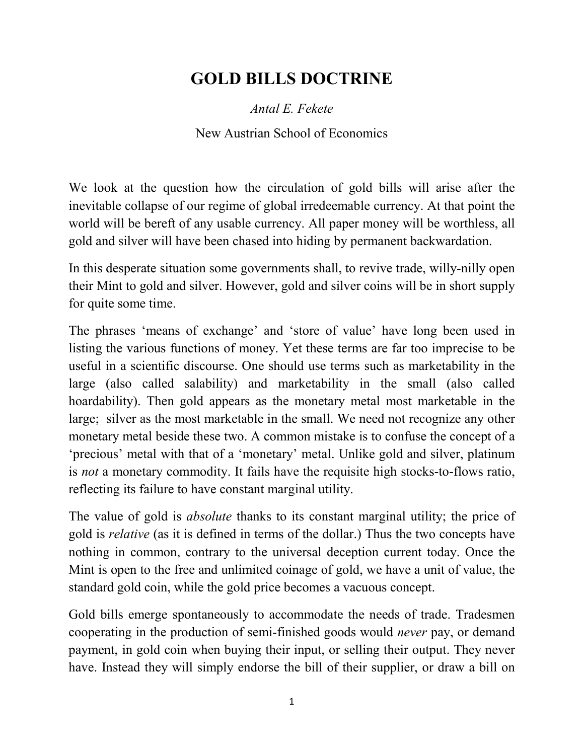## **GOLD BILLS DOCTRINE**

*Antal E. Fekete* 

New Austrian School of Economics

We look at the question how the circulation of gold bills will arise after the inevitable collapse of our regime of global irredeemable currency. At that point the world will be bereft of any usable currency. All paper money will be worthless, all gold and silver will have been chased into hiding by permanent backwardation.

In this desperate situation some governments shall, to revive trade, willy-nilly open their Mint to gold and silver. However, gold and silver coins will be in short supply for quite some time.

The phrases 'means of exchange' and 'store of value' have long been used in listing the various functions of money. Yet these terms are far too imprecise to be useful in a scientific discourse. One should use terms such as marketability in the large (also called salability) and marketability in the small (also called hoardability). Then gold appears as the monetary metal most marketable in the large; silver as the most marketable in the small. We need not recognize any other monetary metal beside these two. A common mistake is to confuse the concept of a 'precious' metal with that of a 'monetary' metal. Unlike gold and silver, platinum is *not* a monetary commodity. It fails have the requisite high stocks-to-flows ratio, reflecting its failure to have constant marginal utility.

The value of gold is *absolute* thanks to its constant marginal utility; the price of gold is *relative* (as it is defined in terms of the dollar.) Thus the two concepts have nothing in common, contrary to the universal deception current today. Once the Mint is open to the free and unlimited coinage of gold, we have a unit of value, the standard gold coin, while the gold price becomes a vacuous concept.

Gold bills emerge spontaneously to accommodate the needs of trade. Tradesmen cooperating in the production of semi-finished goods would *never* pay, or demand payment, in gold coin when buying their input, or selling their output. They never have. Instead they will simply endorse the bill of their supplier, or draw a bill on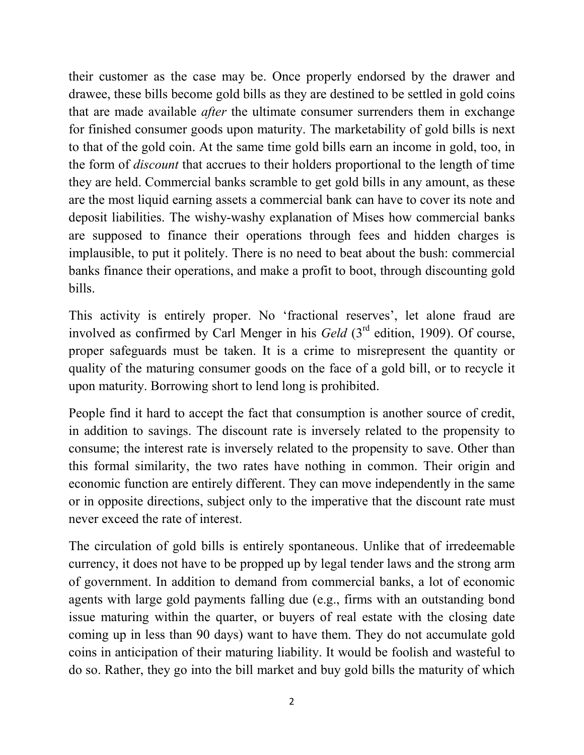their customer as the case may be. Once properly endorsed by the drawer and drawee, these bills become gold bills as they are destined to be settled in gold coins that are made available *after* the ultimate consumer surrenders them in exchange for finished consumer goods upon maturity. The marketability of gold bills is next to that of the gold coin. At the same time gold bills earn an income in gold, too, in the form of *discount* that accrues to their holders proportional to the length of time they are held. Commercial banks scramble to get gold bills in any amount, as these are the most liquid earning assets a commercial bank can have to cover its note and deposit liabilities. The wishy-washy explanation of Mises how commercial banks are supposed to finance their operations through fees and hidden charges is implausible, to put it politely. There is no need to beat about the bush: commercial banks finance their operations, and make a profit to boot, through discounting gold bills.

This activity is entirely proper. No 'fractional reserves', let alone fraud are involved as confirmed by Carl Menger in his *Geld* (3<sup>rd</sup> edition, 1909). Of course, proper safeguards must be taken. It is a crime to misrepresent the quantity or quality of the maturing consumer goods on the face of a gold bill, or to recycle it upon maturity. Borrowing short to lend long is prohibited.

People find it hard to accept the fact that consumption is another source of credit, in addition to savings. The discount rate is inversely related to the propensity to consume; the interest rate is inversely related to the propensity to save. Other than this formal similarity, the two rates have nothing in common. Their origin and economic function are entirely different. They can move independently in the same or in opposite directions, subject only to the imperative that the discount rate must never exceed the rate of interest.

The circulation of gold bills is entirely spontaneous. Unlike that of irredeemable currency, it does not have to be propped up by legal tender laws and the strong arm of government. In addition to demand from commercial banks, a lot of economic agents with large gold payments falling due (e.g., firms with an outstanding bond issue maturing within the quarter, or buyers of real estate with the closing date coming up in less than 90 days) want to have them. They do not accumulate gold coins in anticipation of their maturing liability. It would be foolish and wasteful to do so. Rather, they go into the bill market and buy gold bills the maturity of which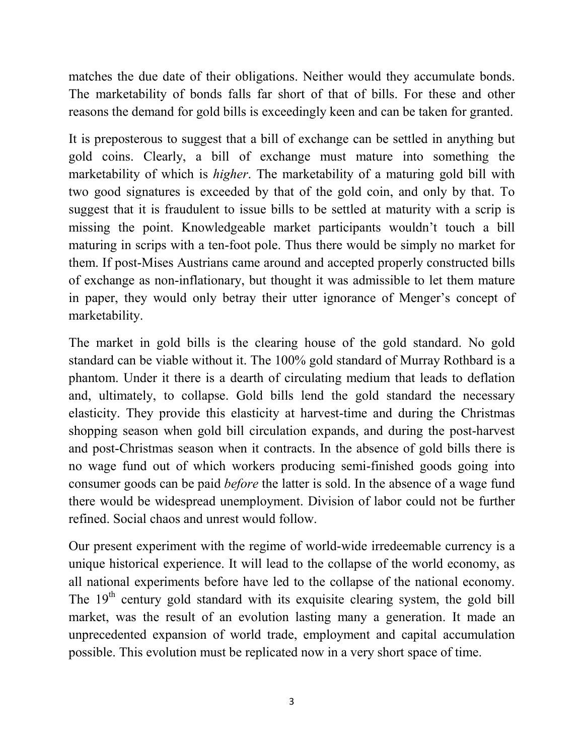matches the due date of their obligations. Neither would they accumulate bonds. The marketability of bonds falls far short of that of bills. For these and other reasons the demand for gold bills is exceedingly keen and can be taken for granted.

It is preposterous to suggest that a bill of exchange can be settled in anything but gold coins. Clearly, a bill of exchange must mature into something the marketability of which is *higher*. The marketability of a maturing gold bill with two good signatures is exceeded by that of the gold coin, and only by that. To suggest that it is fraudulent to issue bills to be settled at maturity with a scrip is missing the point. Knowledgeable market participants wouldn't touch a bill maturing in scrips with a ten-foot pole. Thus there would be simply no market for them. If post-Mises Austrians came around and accepted properly constructed bills of exchange as non-inflationary, but thought it was admissible to let them mature in paper, they would only betray their utter ignorance of Menger's concept of marketability.

The market in gold bills is the clearing house of the gold standard. No gold standard can be viable without it. The 100% gold standard of Murray Rothbard is a phantom. Under it there is a dearth of circulating medium that leads to deflation and, ultimately, to collapse. Gold bills lend the gold standard the necessary elasticity. They provide this elasticity at harvest-time and during the Christmas shopping season when gold bill circulation expands, and during the post-harvest and post-Christmas season when it contracts. In the absence of gold bills there is no wage fund out of which workers producing semi-finished goods going into consumer goods can be paid *before* the latter is sold. In the absence of a wage fund there would be widespread unemployment. Division of labor could not be further refined. Social chaos and unrest would follow.

Our present experiment with the regime of world-wide irredeemable currency is a unique historical experience. It will lead to the collapse of the world economy, as all national experiments before have led to the collapse of the national economy. The  $19<sup>th</sup>$  century gold standard with its exquisite clearing system, the gold bill market, was the result of an evolution lasting many a generation. It made an unprecedented expansion of world trade, employment and capital accumulation possible. This evolution must be replicated now in a very short space of time.